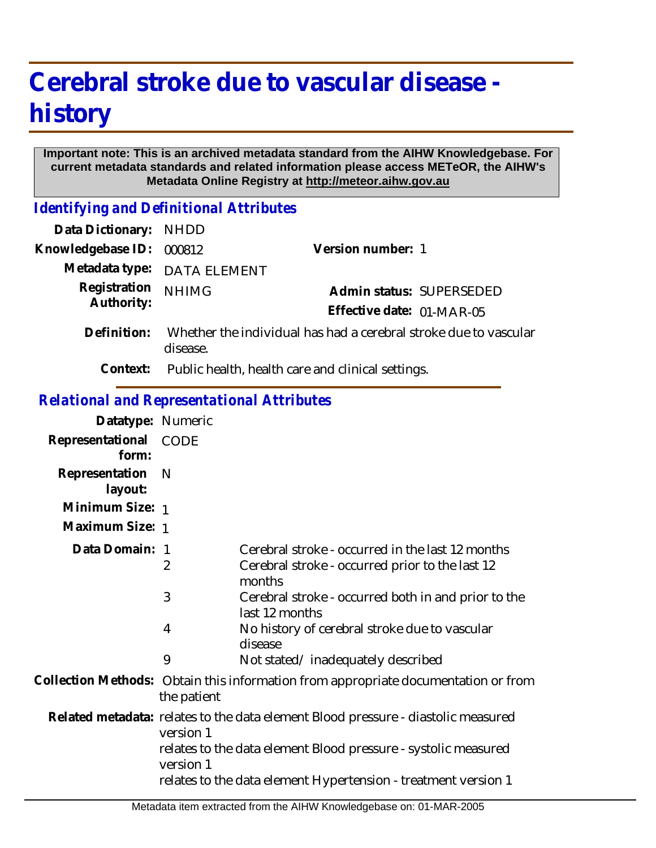## **Cerebral stroke due to vascular disease history**

## **Important note: This is an archived metadata standard from the AIHW Knowledgebase. For current metadata standards and related information please access METeOR, the AIHW's Metadata Online Registry at http://meteor.aihw.gov.au**

*Identifying and Definitional Attributes*

| Data Dictionary: NHDD      |                                                                              |                                                       |
|----------------------------|------------------------------------------------------------------------------|-------------------------------------------------------|
| Knowledgebase ID:          | 000812                                                                       | Version number: 1                                     |
|                            | Metadata type: DATA ELEMENT                                                  |                                                       |
| Registration<br>Authority: | <b>NHIMG</b>                                                                 | Admin status: SUPERSEDED<br>Effective date: 01-MAR-05 |
| Definition:                | Whether the individual has had a cerebral stroke due to vascular<br>disease. |                                                       |
| Context:                   | Public health, health care and clinical settings.                            |                                                       |

## *Relational and Representational Attributes*

| Datatype: Numeric         |                                                                                                   |                                                                                                               |  |
|---------------------------|---------------------------------------------------------------------------------------------------|---------------------------------------------------------------------------------------------------------------|--|
| Representational<br>form: | <b>CODE</b>                                                                                       |                                                                                                               |  |
| Representation<br>layout: | - N                                                                                               |                                                                                                               |  |
| Minimum Size: 1           |                                                                                                   |                                                                                                               |  |
| Maximum Size: 1           |                                                                                                   |                                                                                                               |  |
| Data Domain: 1            | $\overline{2}$                                                                                    | Cerebral stroke - occurred in the last 12 months<br>Cerebral stroke - occurred prior to the last 12<br>months |  |
|                           | 3                                                                                                 | Cerebral stroke - occurred both in and prior to the<br>last 12 months                                         |  |
|                           | 4                                                                                                 | No history of cerebral stroke due to vascular<br>disease                                                      |  |
|                           | 9                                                                                                 | Not stated/inadequately described                                                                             |  |
|                           | Collection Methods: Obtain this information from appropriate documentation or from<br>the patient |                                                                                                               |  |
|                           | Related metadata: relates to the data element Blood pressure - diastolic measured<br>version 1    |                                                                                                               |  |
|                           | relates to the data element Blood pressure - systolic measured<br>version 1                       |                                                                                                               |  |
|                           |                                                                                                   | relates to the data element Hypertension - treatment version 1                                                |  |